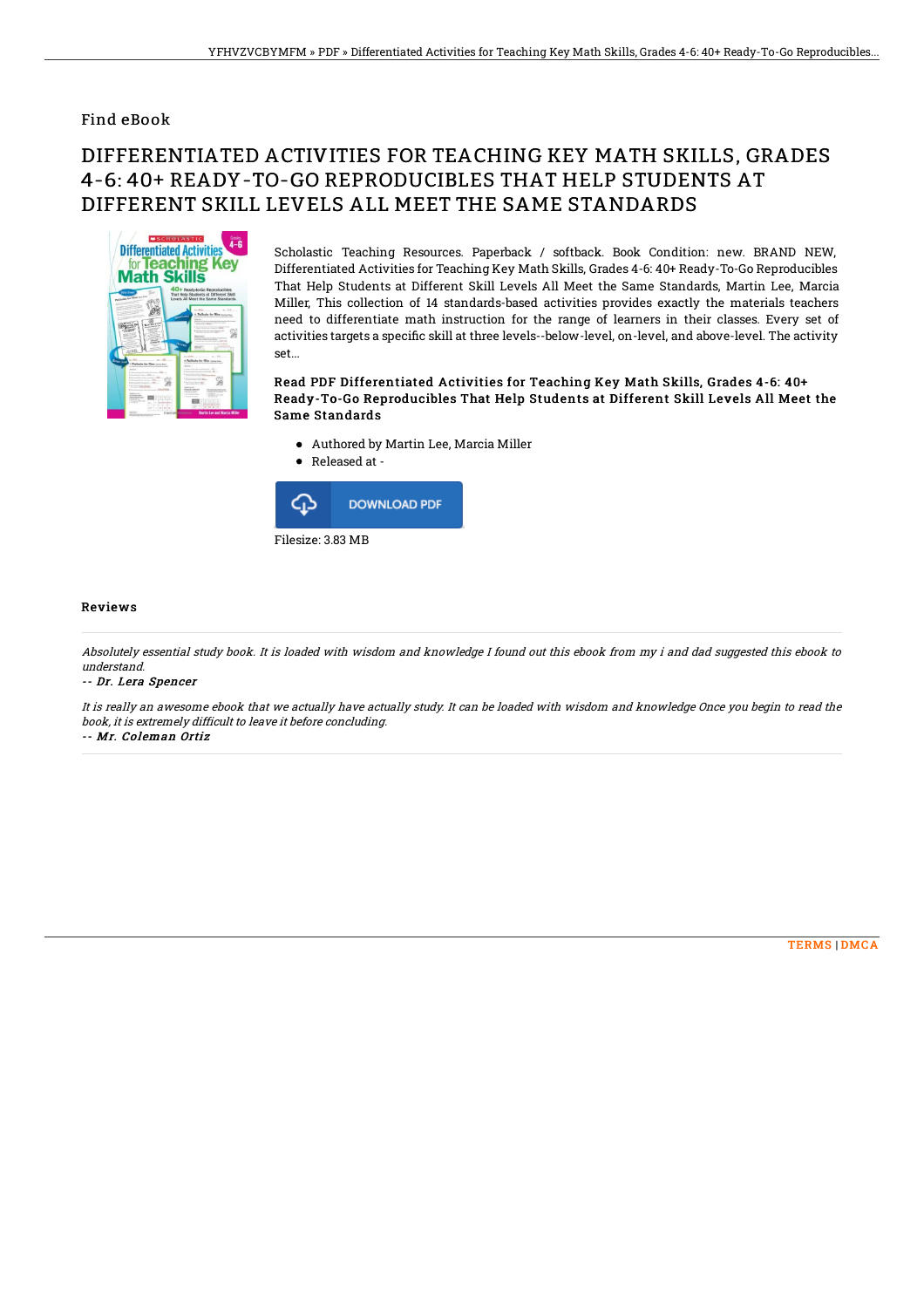### Find eBook

# DIFFERENTIATED ACTIVITIES FOR TEACHING KEY MATH SKILLS, GRADES 4-6: 40+ READY-TO-GO REPRODUCIBLES THAT HELP STUDENTS AT DIFFERENT SKILL LEVELS ALL MEET THE SAME STANDARDS



Scholastic Teaching Resources. Paperback / softback. Book Condition: new. BRAND NEW, Differentiated Activities for Teaching Key Math Skills, Grades 4-6: 40+ Ready-To-Go Reproducibles That Help Students at Different Skill Levels All Meet the Same Standards, Martin Lee, Marcia Miller, This collection of 14 standards-based activities provides exactly the materials teachers need to differentiate math instruction for the range of learners in their classes. Every set of activities targets a specific skill at three levels--below-level, on-level, and above-level. The activity set...

#### Read PDF Differentiated Activities for Teaching Key Math Skills, Grades 4-6: 40+ Ready-To-Go Reproducibles That Help Students at Different Skill Levels All Meet the Same Standards

- Authored by Martin Lee, Marcia Miller
- Released at -



#### Reviews

Absolutely essential study book. It is loaded with wisdom and knowledge I found out this ebook from my i and dad suggested this ebook to understand.

#### -- Dr. Lera Spencer

It is really an awesome ebook that we actually have actually study. It can be loaded with wisdom and knowledge Once you begin to read the book, it is extremely difficult to leave it before concluding.

-- Mr. Coleman Ortiz